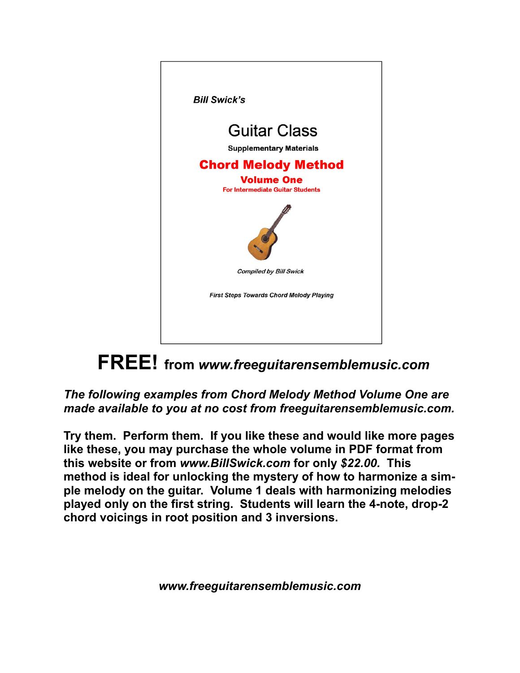

### **FREE! from** *www.freeguitarensemblemusic.com*

#### *The following examples from Chord Melody Method Volume One are made available to you at no cost from freeguitarensemblemusic.com.*

**Try them. Perform them. If you like these and would like more pages like these, you may purchase the whole volume in PDF format from this website or from** *www.BillSwick.com* **for only** *\$22.00.* **This method is ideal for unlocking the mystery of how to harmonize a simple melody on the guitar. Volume 1 deals with harmonizing melodies played only on the first string. Students will learn the 4-note, drop-2 chord voicings in root position and 3 inversions.** 

*www.freeguitarensemblemusic.com*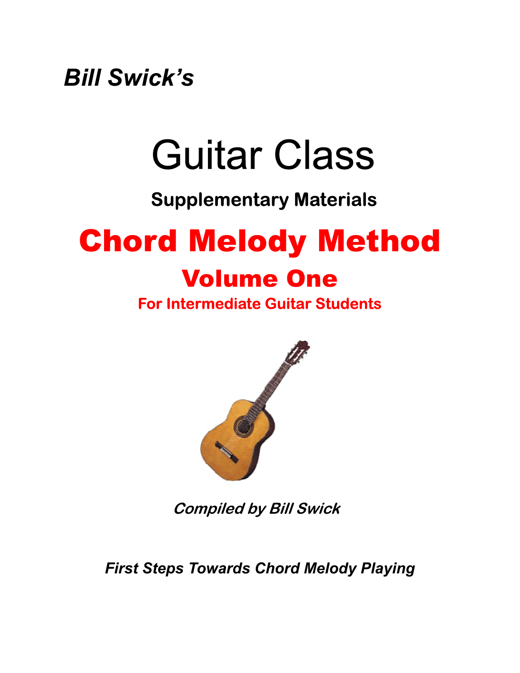*Bill Swick's* 

## Guitar Class

## **Supplementary Materials**

## Chord Melody Method Volume One

#### **For Intermediate Guitar Students**



**Compiled by Bill Swick** 

*First Steps Towards Chord Melody Playing*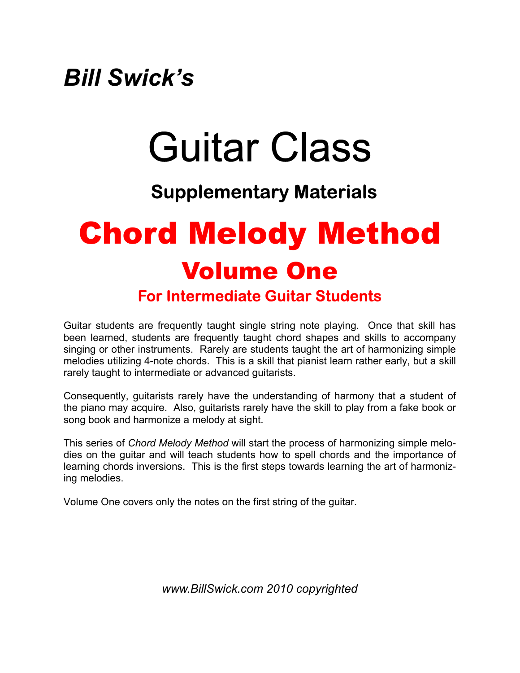## *Bill Swick's*

# Guitar Class

#### **Supplementary Materials**

## Chord Melody Method Volume One **For Intermediate Guitar Students**

Guitar students are frequently taught single string note playing. Once that skill has been learned, students are frequently taught chord shapes and skills to accompany singing or other instruments. Rarely are students taught the art of harmonizing simple melodies utilizing 4-note chords. This is a skill that pianist learn rather early, but a skill rarely taught to intermediate or advanced guitarists.

Consequently, guitarists rarely have the understanding of harmony that a student of the piano may acquire. Also, guitarists rarely have the skill to play from a fake book or song book and harmonize a melody at sight.

This series of *Chord Melody Method* will start the process of harmonizing simple melodies on the guitar and will teach students how to spell chords and the importance of learning chords inversions. This is the first steps towards learning the art of harmonizing melodies.

Volume One covers only the notes on the first string of the guitar.

*www.BillSwick.com 2010 copyrighted*